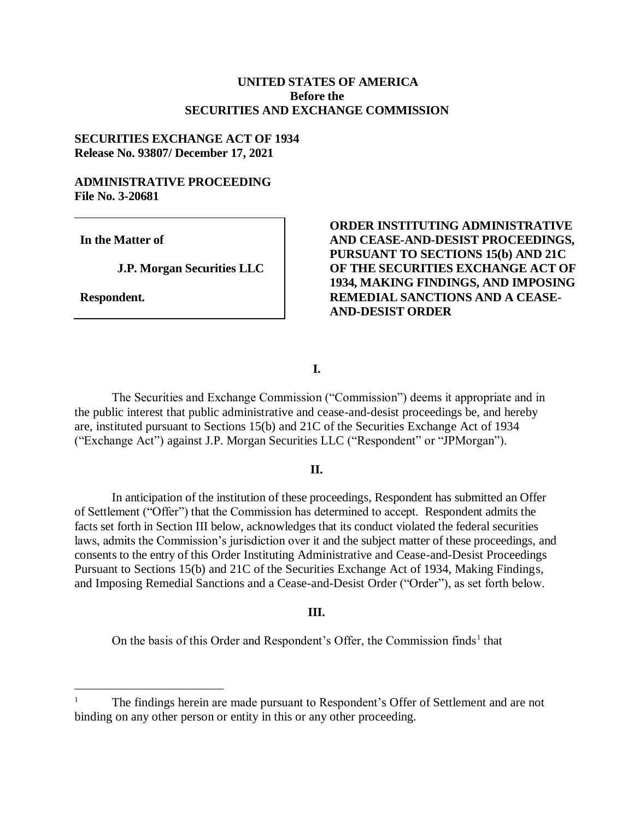### **UNITED STATES OF AMERICA Before the SECURITIES AND EXCHANGE COMMISSION**

#### **SECURITIES EXCHANGE ACT OF 1934 Release No. 93807/ December 17, 2021**

#### **ADMINISTRATIVE PROCEEDING File No. 3-20681**

**In the Matter of**

**J.P. Morgan Securities LLC**

**Respondent.**

 $\overline{a}$ 

### **ORDER INSTITUTING ADMINISTRATIVE AND CEASE-AND-DESIST PROCEEDINGS, PURSUANT TO SECTIONS 15(b) AND 21C OF THE SECURITIES EXCHANGE ACT OF 1934, MAKING FINDINGS, AND IMPOSING REMEDIAL SANCTIONS AND A CEASE-AND-DESIST ORDER**

#### **I.**

The Securities and Exchange Commission ("Commission") deems it appropriate and in the public interest that public administrative and cease-and-desist proceedings be, and hereby are, instituted pursuant to Sections 15(b) and 21C of the Securities Exchange Act of 1934 ("Exchange Act") against J.P. Morgan Securities LLC ("Respondent" or "JPMorgan").

#### **II.**

In anticipation of the institution of these proceedings, Respondent has submitted an Offer of Settlement ("Offer") that the Commission has determined to accept. Respondent admits the facts set forth in Section III below, acknowledges that its conduct violated the federal securities laws, admits the Commission's jurisdiction over it and the subject matter of these proceedings, and consents to the entry of this Order Instituting Administrative and Cease-and-Desist Proceedings Pursuant to Sections 15(b) and 21C of the Securities Exchange Act of 1934, Making Findings, and Imposing Remedial Sanctions and a Cease-and-Desist Order ("Order"), as set forth below.

#### **III.**

On the basis of this Order and Respondent's Offer, the Commission finds<sup>1</sup> that

<sup>1</sup> The findings herein are made pursuant to Respondent's Offer of Settlement and are not binding on any other person or entity in this or any other proceeding.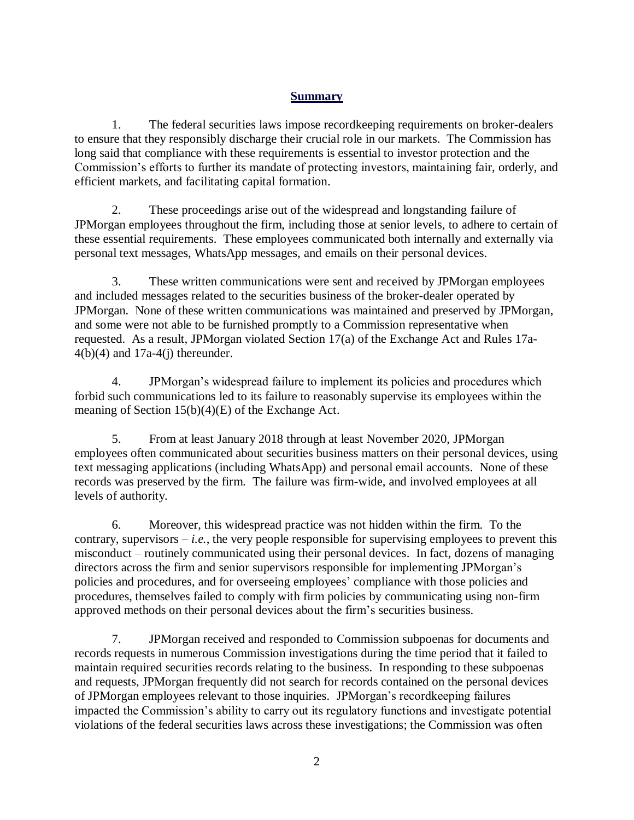## **Summary**

1. The federal securities laws impose recordkeeping requirements on broker-dealers to ensure that they responsibly discharge their crucial role in our markets. The Commission has long said that compliance with these requirements is essential to investor protection and the Commission's efforts to further its mandate of protecting investors, maintaining fair, orderly, and efficient markets, and facilitating capital formation.

2. These proceedings arise out of the widespread and longstanding failure of JPMorgan employees throughout the firm, including those at senior levels, to adhere to certain of these essential requirements. These employees communicated both internally and externally via personal text messages, WhatsApp messages, and emails on their personal devices.

3. These written communications were sent and received by JPMorgan employees and included messages related to the securities business of the broker-dealer operated by JPMorgan. None of these written communications was maintained and preserved by JPMorgan, and some were not able to be furnished promptly to a Commission representative when requested. As a result, JPMorgan violated Section 17(a) of the Exchange Act and Rules 17a- $4(b)(4)$  and  $17a-4(j)$  thereunder.

4. JPMorgan's widespread failure to implement its policies and procedures which forbid such communications led to its failure to reasonably supervise its employees within the meaning of Section 15(b)(4)(E) of the Exchange Act.

5. From at least January 2018 through at least November 2020, JPMorgan employees often communicated about securities business matters on their personal devices, using text messaging applications (including WhatsApp) and personal email accounts. None of these records was preserved by the firm. The failure was firm-wide, and involved employees at all levels of authority.

6. Moreover, this widespread practice was not hidden within the firm. To the contrary, supervisors  $-i.e.,$  the very people responsible for supervising employees to prevent this misconduct – routinely communicated using their personal devices. In fact, dozens of managing directors across the firm and senior supervisors responsible for implementing JPMorgan's policies and procedures, and for overseeing employees' compliance with those policies and procedures, themselves failed to comply with firm policies by communicating using non-firm approved methods on their personal devices about the firm's securities business.

7. JPMorgan received and responded to Commission subpoenas for documents and records requests in numerous Commission investigations during the time period that it failed to maintain required securities records relating to the business. In responding to these subpoenas and requests, JPMorgan frequently did not search for records contained on the personal devices of JPMorgan employees relevant to those inquiries. JPMorgan's recordkeeping failures impacted the Commission's ability to carry out its regulatory functions and investigate potential violations of the federal securities laws across these investigations; the Commission was often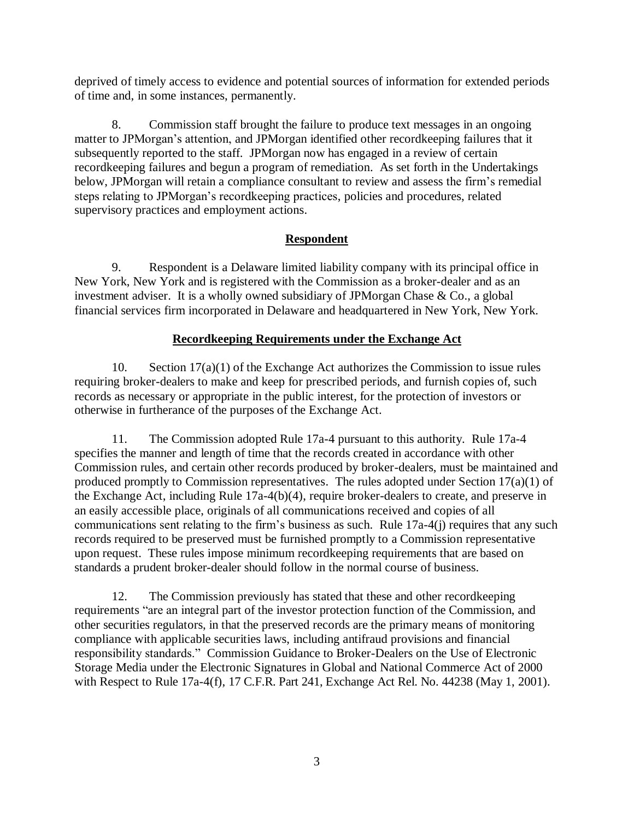deprived of timely access to evidence and potential sources of information for extended periods of time and, in some instances, permanently.

8. Commission staff brought the failure to produce text messages in an ongoing matter to JPMorgan's attention, and JPMorgan identified other recordkeeping failures that it subsequently reported to the staff. JPMorgan now has engaged in a review of certain recordkeeping failures and begun a program of remediation. As set forth in the Undertakings below, JPMorgan will retain a compliance consultant to review and assess the firm's remedial steps relating to JPMorgan's recordkeeping practices, policies and procedures, related supervisory practices and employment actions.

## **Respondent**

9. Respondent is a Delaware limited liability company with its principal office in New York, New York and is registered with the Commission as a broker-dealer and as an investment adviser. It is a wholly owned subsidiary of JPMorgan Chase & Co., a global financial services firm incorporated in Delaware and headquartered in New York, New York.

## **Recordkeeping Requirements under the Exchange Act**

10. Section 17(a)(1) of the Exchange Act authorizes the Commission to issue rules requiring broker-dealers to make and keep for prescribed periods, and furnish copies of, such records as necessary or appropriate in the public interest, for the protection of investors or otherwise in furtherance of the purposes of the Exchange Act.

11. The Commission adopted Rule 17a-4 pursuant to this authority. Rule 17a-4 specifies the manner and length of time that the records created in accordance with other Commission rules, and certain other records produced by broker-dealers, must be maintained and produced promptly to Commission representatives. The rules adopted under Section 17(a)(1) of the Exchange Act, including Rule 17a-4(b)(4), require broker-dealers to create, and preserve in an easily accessible place, originals of all communications received and copies of all communications sent relating to the firm's business as such. Rule 17a-4(j) requires that any such records required to be preserved must be furnished promptly to a Commission representative upon request. These rules impose minimum recordkeeping requirements that are based on standards a prudent broker-dealer should follow in the normal course of business.

12. The Commission previously has stated that these and other recordkeeping requirements "are an integral part of the investor protection function of the Commission, and other securities regulators, in that the preserved records are the primary means of monitoring compliance with applicable securities laws, including antifraud provisions and financial responsibility standards." Commission Guidance to Broker-Dealers on the Use of Electronic Storage Media under the Electronic Signatures in Global and National Commerce Act of 2000 with Respect to Rule 17a-4(f), 17 C.F.R. Part 241, Exchange Act Rel. No. 44238 (May 1, 2001).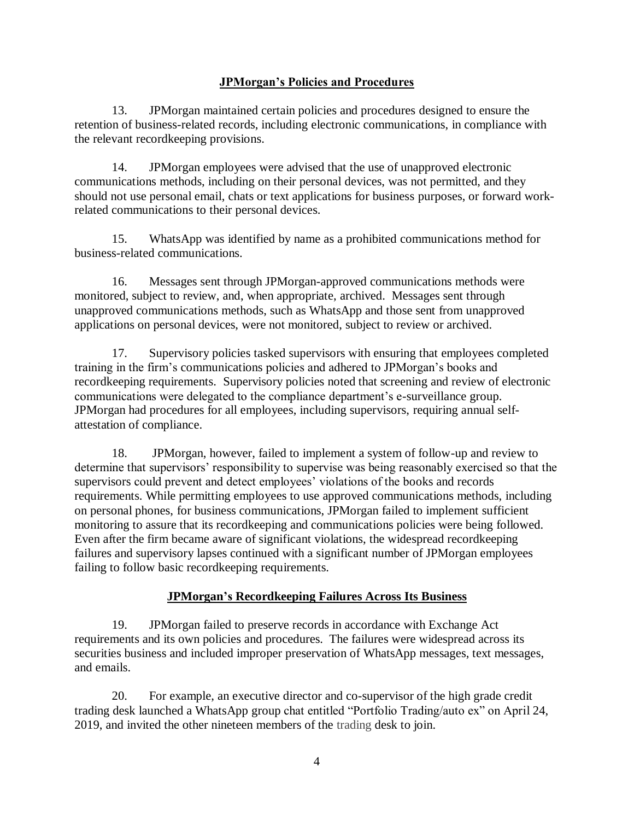## **JPMorgan's Policies and Procedures**

13. JPMorgan maintained certain policies and procedures designed to ensure the retention of business-related records, including electronic communications, in compliance with the relevant recordkeeping provisions.

14. JPMorgan employees were advised that the use of unapproved electronic communications methods, including on their personal devices, was not permitted, and they should not use personal email, chats or text applications for business purposes, or forward workrelated communications to their personal devices.

15. WhatsApp was identified by name as a prohibited communications method for business-related communications.

16. Messages sent through JPMorgan-approved communications methods were monitored, subject to review, and, when appropriate, archived. Messages sent through unapproved communications methods, such as WhatsApp and those sent from unapproved applications on personal devices, were not monitored, subject to review or archived.

17. Supervisory policies tasked supervisors with ensuring that employees completed training in the firm's communications policies and adhered to JPMorgan's books and recordkeeping requirements. Supervisory policies noted that screening and review of electronic communications were delegated to the compliance department's e-surveillance group. JPMorgan had procedures for all employees, including supervisors, requiring annual selfattestation of compliance.

18. JPMorgan, however, failed to implement a system of follow-up and review to determine that supervisors' responsibility to supervise was being reasonably exercised so that the supervisors could prevent and detect employees' violations of the books and records requirements. While permitting employees to use approved communications methods, including on personal phones, for business communications, JPMorgan failed to implement sufficient monitoring to assure that its recordkeeping and communications policies were being followed. Even after the firm became aware of significant violations, the widespread recordkeeping failures and supervisory lapses continued with a significant number of JPMorgan employees failing to follow basic recordkeeping requirements.

## **JPMorgan's Recordkeeping Failures Across Its Business**

19. JPMorgan failed to preserve records in accordance with Exchange Act requirements and its own policies and procedures. The failures were widespread across its securities business and included improper preservation of WhatsApp messages, text messages, and emails.

20. For example, an executive director and co-supervisor of the high grade credit trading desk launched a WhatsApp group chat entitled "Portfolio Trading/auto ex" on April 24, 2019, and invited the other nineteen members of the trading desk to join.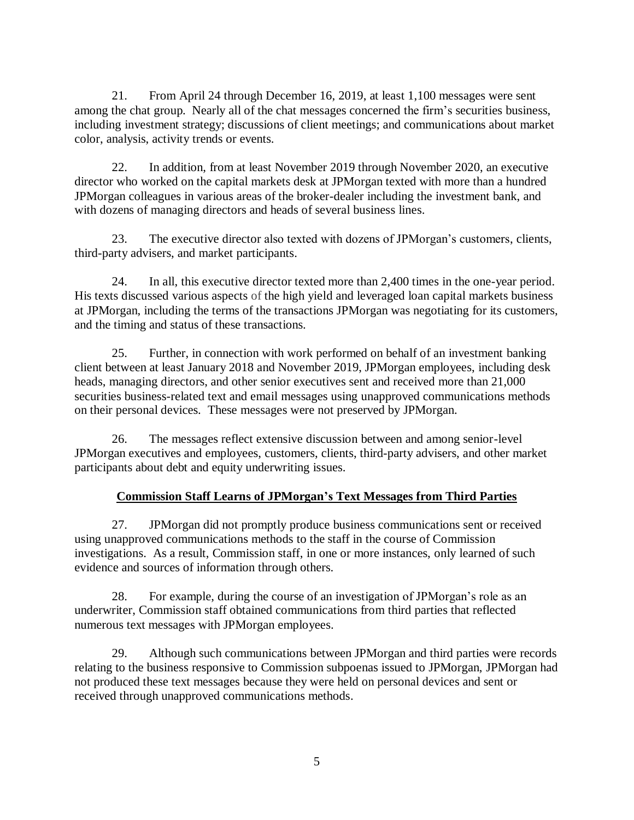21. From April 24 through December 16, 2019, at least 1,100 messages were sent among the chat group. Nearly all of the chat messages concerned the firm's securities business, including investment strategy; discussions of client meetings; and communications about market color, analysis, activity trends or events.

22. In addition, from at least November 2019 through November 2020, an executive director who worked on the capital markets desk at JPMorgan texted with more than a hundred JPMorgan colleagues in various areas of the broker-dealer including the investment bank, and with dozens of managing directors and heads of several business lines.

23. The executive director also texted with dozens of JPMorgan's customers, clients, third-party advisers, and market participants.

24. In all, this executive director texted more than 2,400 times in the one-year period. His texts discussed various aspects of the high yield and leveraged loan capital markets business at JPMorgan, including the terms of the transactions JPMorgan was negotiating for its customers, and the timing and status of these transactions.

25. Further, in connection with work performed on behalf of an investment banking client between at least January 2018 and November 2019, JPMorgan employees, including desk heads, managing directors, and other senior executives sent and received more than 21,000 securities business-related text and email messages using unapproved communications methods on their personal devices. These messages were not preserved by JPMorgan.

26. The messages reflect extensive discussion between and among senior-level JPMorgan executives and employees, customers, clients, third-party advisers, and other market participants about debt and equity underwriting issues.

# **Commission Staff Learns of JPMorgan's Text Messages from Third Parties**

27. JPMorgan did not promptly produce business communications sent or received using unapproved communications methods to the staff in the course of Commission investigations. As a result, Commission staff, in one or more instances, only learned of such evidence and sources of information through others.

28. For example, during the course of an investigation of JPMorgan's role as an underwriter, Commission staff obtained communications from third parties that reflected numerous text messages with JPMorgan employees.

29. Although such communications between JPMorgan and third parties were records relating to the business responsive to Commission subpoenas issued to JPMorgan, JPMorgan had not produced these text messages because they were held on personal devices and sent or received through unapproved communications methods.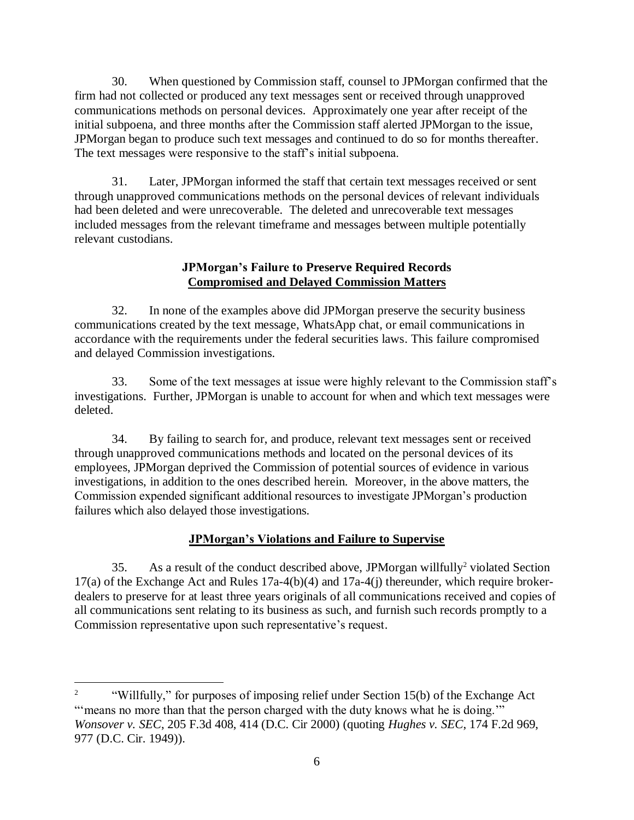30. When questioned by Commission staff, counsel to JPMorgan confirmed that the firm had not collected or produced any text messages sent or received through unapproved communications methods on personal devices. Approximately one year after receipt of the initial subpoena, and three months after the Commission staff alerted JPMorgan to the issue, JPMorgan began to produce such text messages and continued to do so for months thereafter. The text messages were responsive to the staff's initial subpoena.

31. Later, JPMorgan informed the staff that certain text messages received or sent through unapproved communications methods on the personal devices of relevant individuals had been deleted and were unrecoverable. The deleted and unrecoverable text messages included messages from the relevant timeframe and messages between multiple potentially relevant custodians.

## **JPMorgan's Failure to Preserve Required Records Compromised and Delayed Commission Matters**

32. In none of the examples above did JPMorgan preserve the security business communications created by the text message, WhatsApp chat, or email communications in accordance with the requirements under the federal securities laws. This failure compromised and delayed Commission investigations.

33. Some of the text messages at issue were highly relevant to the Commission staff's investigations. Further, JPMorgan is unable to account for when and which text messages were deleted.

34. By failing to search for, and produce, relevant text messages sent or received through unapproved communications methods and located on the personal devices of its employees, JPMorgan deprived the Commission of potential sources of evidence in various investigations, in addition to the ones described herein. Moreover, in the above matters, the Commission expended significant additional resources to investigate JPMorgan's production failures which also delayed those investigations.

# **JPMorgan's Violations and Failure to Supervise**

35. As a result of the conduct described above, JPMorgan willfully<sup>2</sup> violated Section 17(a) of the Exchange Act and Rules 17a-4(b)(4) and 17a-4(j) thereunder, which require brokerdealers to preserve for at least three years originals of all communications received and copies of all communications sent relating to its business as such, and furnish such records promptly to a Commission representative upon such representative's request.

 $\overline{a}$ 

<sup>2</sup> "Willfully," for purposes of imposing relief under Section 15(b) of the Exchange Act " means no more than that the person charged with the duty knows what he is doing." *Wonsover v. SEC*, 205 F.3d 408, 414 (D.C. Cir 2000) (quoting *Hughes v. SEC*, 174 F.2d 969, 977 (D.C. Cir. 1949)).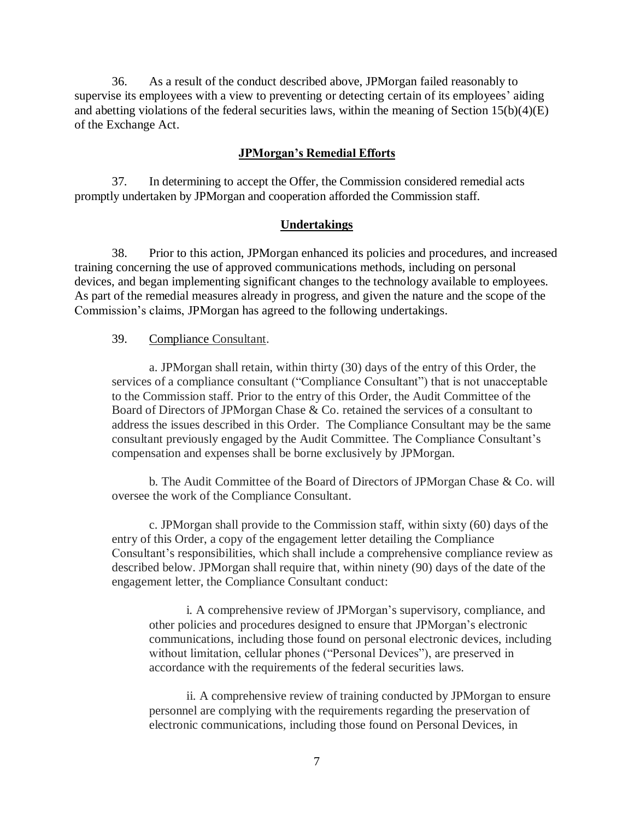36. As a result of the conduct described above, JPMorgan failed reasonably to supervise its employees with a view to preventing or detecting certain of its employees' aiding and abetting violations of the federal securities laws, within the meaning of Section  $15(b)(4)(E)$ of the Exchange Act.

#### **JPMorgan's Remedial Efforts**

37. In determining to accept the Offer, the Commission considered remedial acts promptly undertaken by JPMorgan and cooperation afforded the Commission staff*.*

#### **Undertakings**

38. Prior to this action, JPMorgan enhanced its policies and procedures, and increased training concerning the use of approved communications methods, including on personal devices, and began implementing significant changes to the technology available to employees. As part of the remedial measures already in progress, and given the nature and the scope of the Commission's claims, JPMorgan has agreed to the following undertakings.

#### 39. Compliance Consultant.

a. JPMorgan shall retain, within thirty (30) days of the entry of this Order, the services of a compliance consultant ("Compliance Consultant") that is not unacceptable to the Commission staff. Prior to the entry of this Order, the Audit Committee of the Board of Directors of JPMorgan Chase & Co. retained the services of a consultant to address the issues described in this Order. The Compliance Consultant may be the same consultant previously engaged by the Audit Committee. The Compliance Consultant's compensation and expenses shall be borne exclusively by JPMorgan.

b. The Audit Committee of the Board of Directors of JPMorgan Chase & Co. will oversee the work of the Compliance Consultant.

c. JPMorgan shall provide to the Commission staff, within sixty (60) days of the entry of this Order, a copy of the engagement letter detailing the Compliance Consultant's responsibilities, which shall include a comprehensive compliance review as described below. JPMorgan shall require that, within ninety (90) days of the date of the engagement letter, the Compliance Consultant conduct:

i. A comprehensive review of JPMorgan's supervisory, compliance, and other policies and procedures designed to ensure that JPMorgan's electronic communications, including those found on personal electronic devices, including without limitation, cellular phones ("Personal Devices"), are preserved in accordance with the requirements of the federal securities laws.

ii. A comprehensive review of training conducted by JPMorgan to ensure personnel are complying with the requirements regarding the preservation of electronic communications, including those found on Personal Devices, in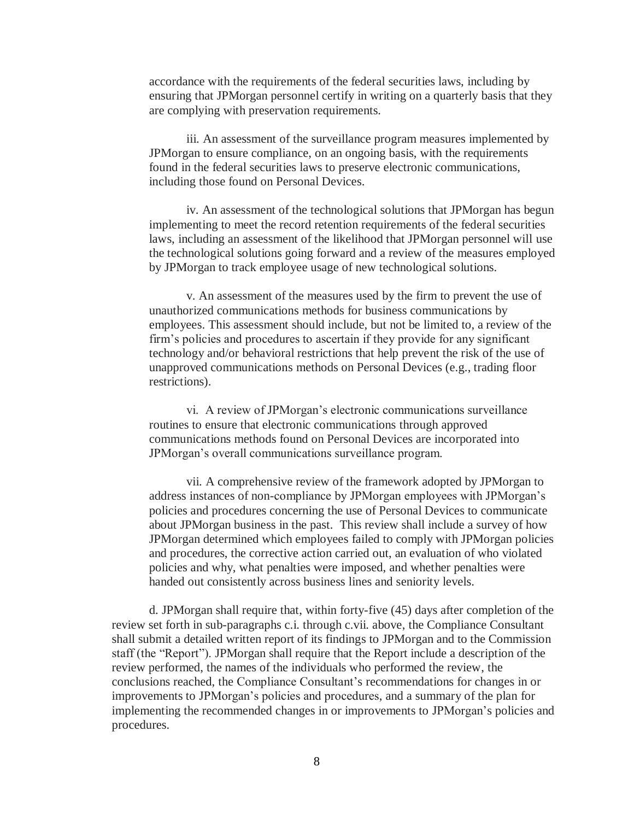accordance with the requirements of the federal securities laws, including by ensuring that JPMorgan personnel certify in writing on a quarterly basis that they are complying with preservation requirements.

iii. An assessment of the surveillance program measures implemented by JPMorgan to ensure compliance, on an ongoing basis, with the requirements found in the federal securities laws to preserve electronic communications, including those found on Personal Devices.

iv. An assessment of the technological solutions that JPMorgan has begun implementing to meet the record retention requirements of the federal securities laws, including an assessment of the likelihood that JPMorgan personnel will use the technological solutions going forward and a review of the measures employed by JPMorgan to track employee usage of new technological solutions.

v. An assessment of the measures used by the firm to prevent the use of unauthorized communications methods for business communications by employees. This assessment should include, but not be limited to, a review of the firm's policies and procedures to ascertain if they provide for any significant technology and/or behavioral restrictions that help prevent the risk of the use of unapproved communications methods on Personal Devices (e.g., trading floor restrictions).

vi. A review of JPMorgan's electronic communications surveillance routines to ensure that electronic communications through approved communications methods found on Personal Devices are incorporated into JPMorgan's overall communications surveillance program.

vii. A comprehensive review of the framework adopted by JPMorgan to address instances of non-compliance by JPMorgan employees with JPMorgan's policies and procedures concerning the use of Personal Devices to communicate about JPMorgan business in the past. This review shall include a survey of how JPMorgan determined which employees failed to comply with JPMorgan policies and procedures, the corrective action carried out, an evaluation of who violated policies and why, what penalties were imposed, and whether penalties were handed out consistently across business lines and seniority levels.

d. JPMorgan shall require that, within forty-five (45) days after completion of the review set forth in sub-paragraphs c.i. through c.vii. above, the Compliance Consultant shall submit a detailed written report of its findings to JPMorgan and to the Commission staff (the "Report"). JPMorgan shall require that the Report include a description of the review performed, the names of the individuals who performed the review, the conclusions reached, the Compliance Consultant's recommendations for changes in or improvements to JPMorgan's policies and procedures, and a summary of the plan for implementing the recommended changes in or improvements to JPMorgan's policies and procedures.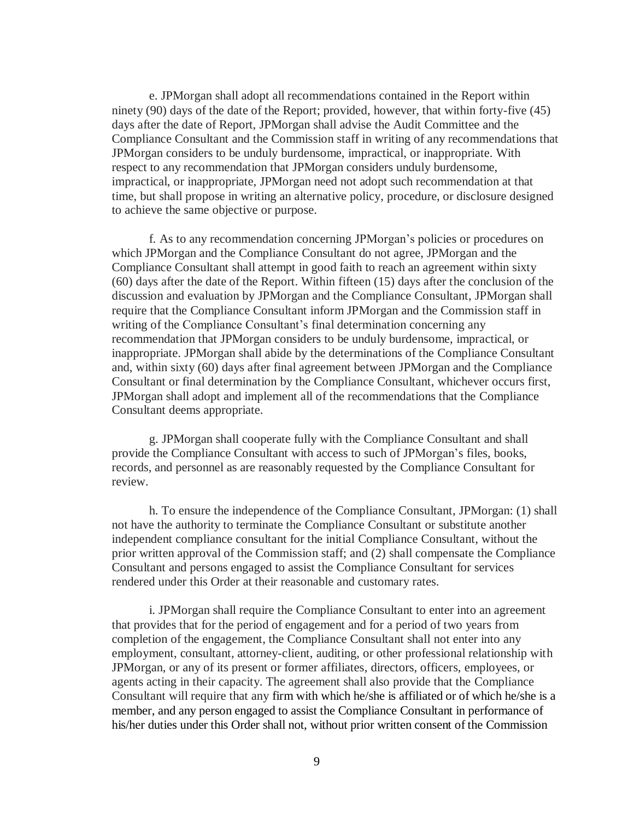e. JPMorgan shall adopt all recommendations contained in the Report within ninety (90) days of the date of the Report; provided, however, that within forty-five (45) days after the date of Report, JPMorgan shall advise the Audit Committee and the Compliance Consultant and the Commission staff in writing of any recommendations that JPMorgan considers to be unduly burdensome, impractical, or inappropriate. With respect to any recommendation that JPMorgan considers unduly burdensome, impractical, or inappropriate, JPMorgan need not adopt such recommendation at that time, but shall propose in writing an alternative policy, procedure, or disclosure designed to achieve the same objective or purpose.

f. As to any recommendation concerning JPMorgan's policies or procedures on which JPMorgan and the Compliance Consultant do not agree, JPMorgan and the Compliance Consultant shall attempt in good faith to reach an agreement within sixty (60) days after the date of the Report. Within fifteen (15) days after the conclusion of the discussion and evaluation by JPMorgan and the Compliance Consultant, JPMorgan shall require that the Compliance Consultant inform JPMorgan and the Commission staff in writing of the Compliance Consultant's final determination concerning any recommendation that JPMorgan considers to be unduly burdensome, impractical, or inappropriate. JPMorgan shall abide by the determinations of the Compliance Consultant and, within sixty (60) days after final agreement between JPMorgan and the Compliance Consultant or final determination by the Compliance Consultant, whichever occurs first, JPMorgan shall adopt and implement all of the recommendations that the Compliance Consultant deems appropriate.

g. JPMorgan shall cooperate fully with the Compliance Consultant and shall provide the Compliance Consultant with access to such of JPMorgan's files, books, records, and personnel as are reasonably requested by the Compliance Consultant for review.

h. To ensure the independence of the Compliance Consultant, JPMorgan: (1) shall not have the authority to terminate the Compliance Consultant or substitute another independent compliance consultant for the initial Compliance Consultant, without the prior written approval of the Commission staff; and (2) shall compensate the Compliance Consultant and persons engaged to assist the Compliance Consultant for services rendered under this Order at their reasonable and customary rates.

i. JPMorgan shall require the Compliance Consultant to enter into an agreement that provides that for the period of engagement and for a period of two years from completion of the engagement, the Compliance Consultant shall not enter into any employment, consultant, attorney-client, auditing, or other professional relationship with JPMorgan, or any of its present or former affiliates, directors, officers, employees, or agents acting in their capacity. The agreement shall also provide that the Compliance Consultant will require that any firm with which he/she is affiliated or of which he/she is a member, and any person engaged to assist the Compliance Consultant in performance of his/her duties under this Order shall not, without prior written consent of the Commission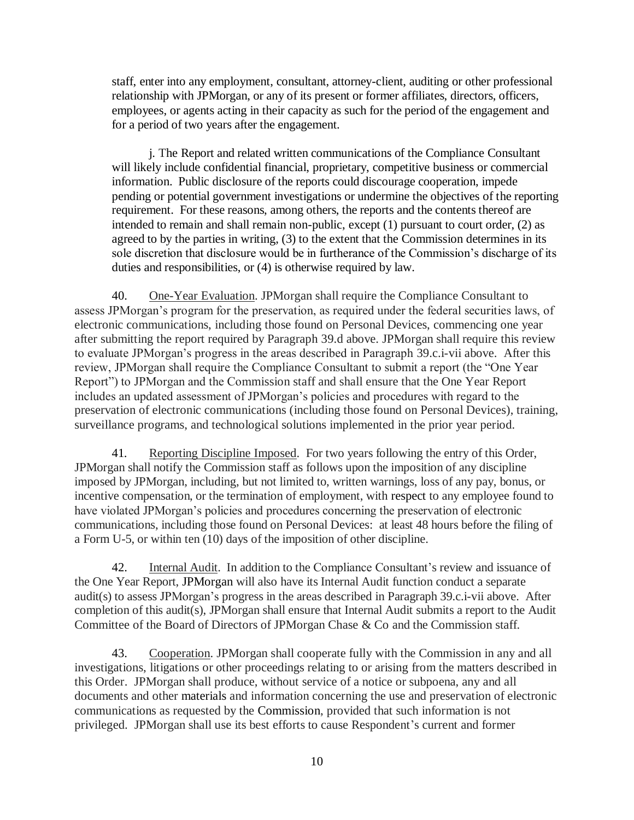staff, enter into any employment, consultant, attorney-client, auditing or other professional relationship with JPMorgan, or any of its present or former affiliates, directors, officers, employees, or agents acting in their capacity as such for the period of the engagement and for a period of two years after the engagement.

j. The Report and related written communications of the Compliance Consultant will likely include confidential financial, proprietary, competitive business or commercial information. Public disclosure of the reports could discourage cooperation, impede pending or potential government investigations or undermine the objectives of the reporting requirement. For these reasons, among others, the reports and the contents thereof are intended to remain and shall remain non-public, except (1) pursuant to court order, (2) as agreed to by the parties in writing, (3) to the extent that the Commission determines in its sole discretion that disclosure would be in furtherance of the Commission's discharge of its duties and responsibilities, or (4) is otherwise required by law.

40. One-Year Evaluation. JPMorgan shall require the Compliance Consultant to assess JPMorgan's program for the preservation, as required under the federal securities laws, of electronic communications, including those found on Personal Devices, commencing one year after submitting the report required by Paragraph 39.d above. JPMorgan shall require this review to evaluate JPMorgan's progress in the areas described in Paragraph 39.c.i-vii above. After this review, JPMorgan shall require the Compliance Consultant to submit a report (the "One Year Report") to JPMorgan and the Commission staff and shall ensure that the One Year Report includes an updated assessment of JPMorgan's policies and procedures with regard to the preservation of electronic communications (including those found on Personal Devices), training, surveillance programs, and technological solutions implemented in the prior year period.

41. Reporting Discipline Imposed. For two years following the entry of this Order, JPMorgan shall notify the Commission staff as follows upon the imposition of any discipline imposed by JPMorgan, including, but not limited to, written warnings, loss of any pay, bonus, or incentive compensation, or the termination of employment, with respect to any employee found to have violated JPMorgan's policies and procedures concerning the preservation of electronic communications, including those found on Personal Devices: at least 48 hours before the filing of a Form U-5, or within ten (10) days of the imposition of other discipline.

42. Internal Audit. In addition to the Compliance Consultant's review and issuance of the One Year Report, JPMorgan will also have its Internal Audit function conduct a separate audit(s) to assess JPMorgan's progress in the areas described in Paragraph 39.c.i-vii above. After completion of this audit(s), JPMorgan shall ensure that Internal Audit submits a report to the Audit Committee of the Board of Directors of JPMorgan Chase & Co and the Commission staff.

43. Cooperation. JPMorgan shall cooperate fully with the Commission in any and all investigations, litigations or other proceedings relating to or arising from the matters described in this Order. JPMorgan shall produce, without service of a notice or subpoena, any and all documents and other materials and information concerning the use and preservation of electronic communications as requested by the Commission, provided that such information is not privileged. JPMorgan shall use its best efforts to cause Respondent's current and former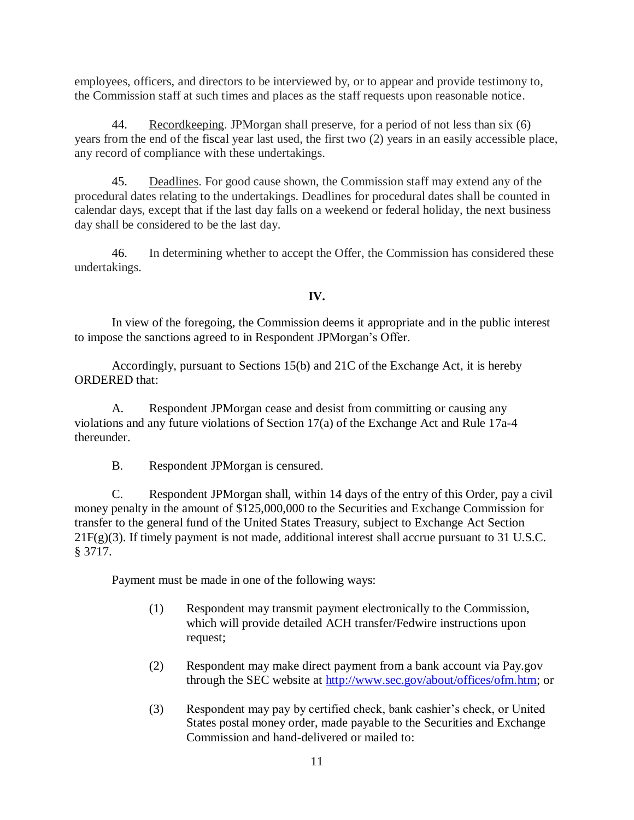employees, officers, and directors to be interviewed by, or to appear and provide testimony to, the Commission staff at such times and places as the staff requests upon reasonable notice.

44. Record keeping. JPM organ shall preserve, for a period of not less than six (6) years from the end of the fiscal year last used, the first two (2) years in an easily accessible place, any record of compliance with these undertakings.

45. Deadlines. For good cause shown, the Commission staff may extend any of the procedural dates relating to the undertakings. Deadlines for procedural dates shall be counted in calendar days, except that if the last day falls on a weekend or federal holiday, the next business day shall be considered to be the last day.

46. In determining whether to accept the Offer, the Commission has considered these undertakings.

## **IV.**

In view of the foregoing, the Commission deems it appropriate and in the public interest to impose the sanctions agreed to in Respondent JPMorgan's Offer.

Accordingly, pursuant to Sections 15(b) and 21C of the Exchange Act, it is hereby ORDERED that:

A. Respondent JPMorgan cease and desist from committing or causing any violations and any future violations of Section 17(a) of the Exchange Act and Rule 17a-4 thereunder.

B. Respondent JPMorgan is censured.

C. Respondent JPMorgan shall, within 14 days of the entry of this Order, pay a civil money penalty in the amount of \$125,000,000 to the Securities and Exchange Commission for transfer to the general fund of the United States Treasury, subject to Exchange Act Section 21F(g)(3). If timely payment is not made, additional interest shall accrue pursuant to 31 U.S.C. § 3717.

Payment must be made in one of the following ways:

- (1) Respondent may transmit payment electronically to the Commission, which will provide detailed ACH transfer/Fedwire instructions upon request;
- (2) Respondent may make direct payment from a bank account via Pay.gov through the SEC website at [http://www.sec.gov/about/offices/ofm.htm;](http://www.sec.gov/about/offices/ofm.htm) or
- (3) Respondent may pay by certified check, bank cashier's check, or United States postal money order, made payable to the Securities and Exchange Commission and hand-delivered or mailed to: